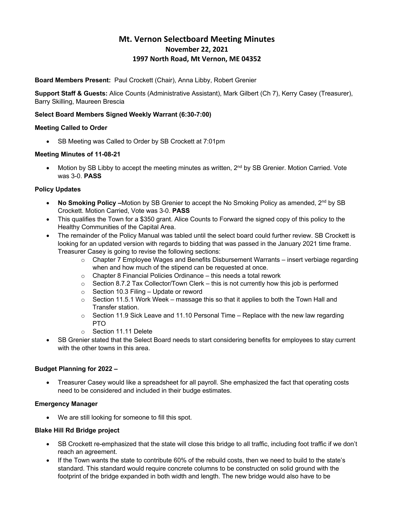# **Mt. Vernon Selectboard Meeting Minutes November 22, 2021 1997 North Road, Mt Vernon, ME 04352**

**Board Members Present:** Paul Crockett (Chair), Anna Libby, Robert Grenier

**Support Staff & Guests:** Alice Counts (Administrative Assistant), Mark Gilbert (Ch 7), Kerry Casey (Treasurer), Barry Skilling, Maureen Brescia

## **Select Board Members Signed Weekly Warrant (6:30-7:00)**

## **Meeting Called to Order**

• SB Meeting was Called to Order by SB Crockett at 7:01pm

## **Meeting Minutes of 11-08-21**

Motion by SB Libby to accept the meeting minutes as written, 2<sup>nd</sup> by SB Grenier. Motion Carried. Vote was 3-0. **PASS**

## **Policy Updates**

- **No Smoking Policy** –Motion by SB Grenier to accept the No Smoking Policy as amended, 2<sup>nd</sup> by SB Crockett. Motion Carried, Vote was 3-0. **PASS**
- This qualifies the Town for a \$350 grant. Alice Counts to Forward the signed copy of this policy to the Healthy Communities of the Capital Area.
- The remainder of the Policy Manual was tabled until the select board could further review. SB Crockett is looking for an updated version with regards to bidding that was passed in the January 2021 time frame. Treasurer Casey is going to revise the following sections:
	- $\circ$  Chapter 7 Employee Wages and Benefits Disbursement Warrants insert verbiage regarding when and how much of the stipend can be requested at once.
	- $\circ$  Chapter 8 Financial Policies Ordinance this needs a total rework
	- $\circ$  Section 8.7.2 Tax Collector/Town Clerk this is not currently how this job is performed
	- o Section 10.3 Filing Update or reword
	- $\circ$  Section 11.5.1 Work Week massage this so that it applies to both the Town Hall and Transfer station.
	- $\circ$  Section 11.9 Sick Leave and 11.10 Personal Time Replace with the new law regarding PTO
	- o Section 11.11 Delete
- SB Grenier stated that the Select Board needs to start considering benefits for employees to stay current with the other towns in this area.

## **Budget Planning for 2022 –**

• Treasurer Casey would like a spreadsheet for all payroll. She emphasized the fact that operating costs need to be considered and included in their budge estimates.

## **Emergency Manager**

• We are still looking for someone to fill this spot.

#### **Blake Hill Rd Bridge project**

- SB Crockett re-emphasized that the state will close this bridge to all traffic, including foot traffic if we don't reach an agreement.
- If the Town wants the state to contribute 60% of the rebuild costs, then we need to build to the state's standard. This standard would require concrete columns to be constructed on solid ground with the footprint of the bridge expanded in both width and length. The new bridge would also have to be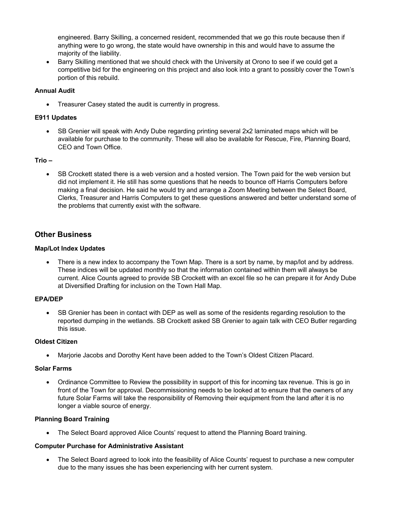engineered. Barry Skilling, a concerned resident, recommended that we go this route because then if anything were to go wrong, the state would have ownership in this and would have to assume the majority of the liability.

• Barry Skilling mentioned that we should check with the University at Orono to see if we could get a competitive bid for the engineering on this project and also look into a grant to possibly cover the Town's portion of this rebuild.

## **Annual Audit**

• Treasurer Casey stated the audit is currently in progress.

#### **E911 Updates**

• SB Grenier will speak with Andy Dube regarding printing several 2x2 laminated maps which will be available for purchase to the community. These will also be available for Rescue, Fire, Planning Board, CEO and Town Office.

## **Trio –**

• SB Crockett stated there is a web version and a hosted version. The Town paid for the web version but did not implement it. He still has some questions that he needs to bounce off Harris Computers before making a final decision. He said he would try and arrange a Zoom Meeting between the Select Board, Clerks, Treasurer and Harris Computers to get these questions answered and better understand some of the problems that currently exist with the software.

# **Other Business**

#### **Map/Lot Index Updates**

There is a new index to accompany the Town Map. There is a sort by name, by map/lot and by address. These indices will be updated monthly so that the information contained within them will always be current. Alice Counts agreed to provide SB Crockett with an excel file so he can prepare it for Andy Dube at Diversified Drafting for inclusion on the Town Hall Map.

#### **EPA/DEP**

• SB Grenier has been in contact with DEP as well as some of the residents regarding resolution to the reported dumping in the wetlands. SB Crockett asked SB Grenier to again talk with CEO Butler regarding this issue.

#### **Oldest Citizen**

• Marjorie Jacobs and Dorothy Kent have been added to the Town's Oldest Citizen Placard.

#### **Solar Farms**

• Ordinance Committee to Review the possibility in support of this for incoming tax revenue. This is go in front of the Town for approval. Decommissioning needs to be looked at to ensure that the owners of any future Solar Farms will take the responsibility of Removing their equipment from the land after it is no longer a viable source of energy.

## **Planning Board Training**

• The Select Board approved Alice Counts' request to attend the Planning Board training.

#### **Computer Purchase for Administrative Assistant**

• The Select Board agreed to look into the feasibility of Alice Counts' request to purchase a new computer due to the many issues she has been experiencing with her current system.